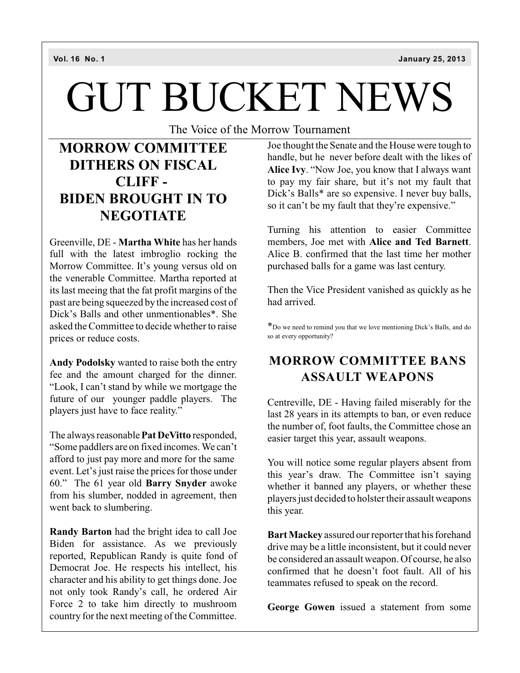# GUT BUCKET NEWS

The Voice of the Morrow Tournament

## **MORROW COMMITTEE DITHERS ON FISCAL CLIFF - BIDEN BROUGHT IN TO NEGOTIATE**

Greenville, DE - **Martha White** has her hands full with the latest imbroglio rocking the Morrow Committee. It's young versus old on the venerable Committee. Martha reported at its last meeing that the fat profit margins of the past are being squeezed by the increased cost of Dick's Balls and other unmentionables\*. She asked the Committee to decide whether to raise prices or reduce costs.

**Andy Podolsky** wanted to raise both the entry fee and the amount charged for the dinner. "Look, I can't stand by while we mortgage the future of our younger paddle players. The players just have to face reality."

The always reasonable **Pat DeVitto** responded, "Some paddlers are on fixed incomes. We can't afford to just pay more and more for the same event. Let's just raise the prices for those under 60." The 61 year old **Barry Snyder** awoke from his slumber, nodded in agreement, then went back to slumbering.

**Randy Barton** had the bright idea to call Joe Biden for assistance. As we previously reported, Republican Randy is quite fond of Democrat Joe. He respects his intellect, his character and his ability to get things done. Joe not only took Randy's call, he ordered Air Force 2 to take him directly to mushroom country for the next meeting of the Committee.

Joe thought the Senate and the House were tough to handle, but he never before dealt with the likes of **Alice Ivy**. "Now Joe, you know that I always want to pay my fair share, but it's not my fault that Dick's Balls\* are so expensive. I never buy balls, so it can't be my fault that they're expensive."

Turning his attention to easier Committee members, Joe met with **Alice and Ted Barnett**. Alice B. confirmed that the last time her mother purchased balls for a game was last century.

Then the Vice President vanished as quickly as he had arrived.

\*Do we need to remind you that we love mentioning Dick's Balls, and do so at every opportunity?

#### **MORROW COMMITTEE BANS ASSAULT WEAPONS**

Centreville, DE - Having failed miserably for the last 28 years in its attempts to ban, or even reduce the number of, foot faults, the Committee chose an easier target this year, assault weapons.

You will notice some regular players absent from this year's draw. The Committee isn't saying whether it banned any players, or whether these players just decided to holster their assault weapons this year.

**BartMackey** assured our reporter that his forehand drive may be a little inconsistent, but it could never be considered an assault weapon. Of course, he also confirmed that he doesn't foot fault. All of his teammates refused to speak on the record.

**George Gowen** issued a statement from some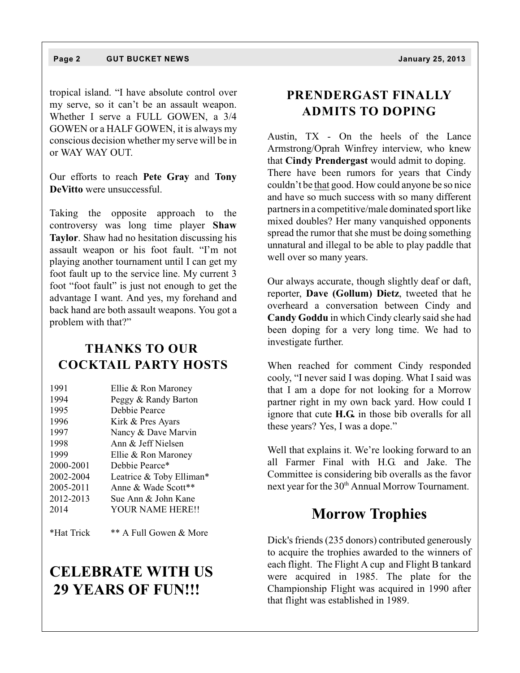tropical island. "I have absolute control over my serve, so it can't be an assault weapon. Whether I serve a FULL GOWEN, a 3/4 GOWEN or a HALF GOWEN, it is always my conscious decision whether my serve will be in or WAY WAY OUT.

Our efforts to reach **Pete Gray** and **Tony DeVitto** were unsuccessful.

Taking the opposite approach to the controversy was long time player **Shaw Taylor**. Shaw had no hesitation discussing his assault weapon or his foot fault. "I'm not playing another tournament until I can get my foot fault up to the service line. My current 3 foot "foot fault" is just not enough to get the advantage I want. And yes, my forehand and back hand are both assault weapons. You got a problem with that?"

#### **THANKS TO OUR COCKTAIL PARTY HOSTS**

| 1991      | Ellie & Ron Maroney      |
|-----------|--------------------------|
| 1994      | Peggy & Randy Barton     |
| 1995      | Debbie Pearce            |
| 1996      | Kirk & Pres Ayars        |
| 1997      | Nancy & Dave Marvin      |
| 1998      | Ann & Jeff Nielsen       |
| 1999      | Ellie & Ron Maroney      |
| 2000-2001 | Debbie Pearce*           |
| 2002-2004 | Leatrice & Toby Elliman* |
| 2005-2011 | Anne & Wade Scott**      |
| 2012-2013 | Sue Ann & John Kane      |
| 2014      | <b>YOUR NAME HERE!!</b>  |
|           |                          |

\*Hat Trick \*\* A Full Gowen & More

### **CELEBRATE WITH US 29 YEARS OF FUN!!!**

#### **PRENDERGAST FINALLY ADMITS TO DOPING**

Austin, TX - On the heels of the Lance Armstrong/Oprah Winfrey interview, who knew that **Cindy Prendergast** would admit to doping. There have been rumors for years that Cindy couldn't be that good. How could anyone be so nice and have so much success with so many different partners in a competitive/male dominated sport like mixed doubles? Her many vanquished opponents spread the rumor that she must be doing something unnatural and illegal to be able to play paddle that well over so many years.

Our always accurate, though slightly deaf or daft, reporter, **Dave (Gollum) Dietz**, tweeted that he overheard a conversation between Cindy and **Candy Goddu** in which Cindy clearly said she had been doping for a very long time. We had to investigate further.

When reached for comment Cindy responded cooly, "I never said I was doping. What I said was that I am a dope for not looking for a Morrow partner right in my own back yard. How could I ignore that cute **H.G.** in those bib overalls for all these years? Yes, I was a dope."

Well that explains it. We're looking forward to an all Farmer Final with H.G. and Jake. The Committee is considering bib overalls as the favor next year for the  $30<sup>th</sup>$  Annual Morrow Tournament.

#### **Morrow Trophies**

Dick's friends (235 donors) contributed generously to acquire the trophies awarded to the winners of each flight. The Flight A cup and Flight B tankard were acquired in 1985. The plate for the Championship Flight was acquired in 1990 after that flight was established in 1989.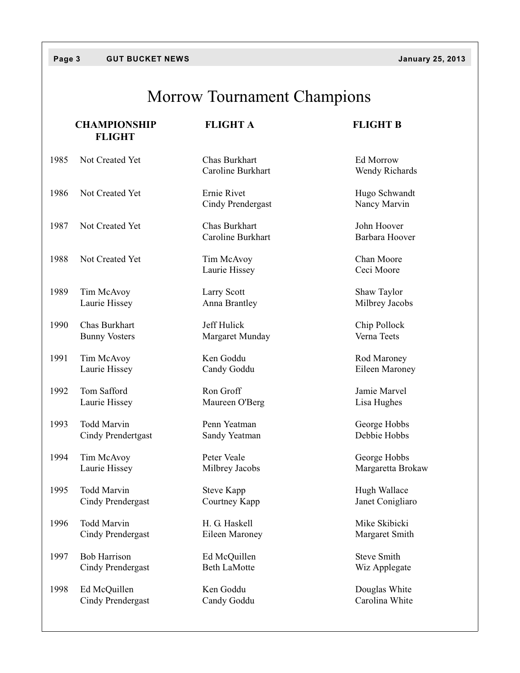#### **Page 3 GUT BUCKET NEWS January 25, 2013**

## Morrow Tournament Champions

|      | <b>CHAMPIONSHIP</b><br><b>FLIGHT</b> | <b>FLIGHT A</b>                    | <b>FLIGHT B</b>               |
|------|--------------------------------------|------------------------------------|-------------------------------|
| 1985 | Not Created Yet                      | Chas Burkhart<br>Caroline Burkhart | Ed Morrow<br>Wendy Richards   |
| 1986 | Not Created Yet                      | Ernie Rivet<br>Cindy Prendergast   | Hugo Schwandt<br>Nancy Marvin |
| 1987 | Not Created Yet                      | Chas Burkhart<br>Caroline Burkhart | John Hoover<br>Barbara Hoover |
| 1988 | Not Created Yet                      | Tim McAvoy<br>Laurie Hissey        | Chan Moore<br>Ceci Moore      |
| 1989 | Tim McAvoy                           | Larry Scott                        | Shaw Taylor                   |
|      | Laurie Hissey                        | Anna Brantley                      | Milbrey Jacobs                |
| 1990 | Chas Burkhart                        | Jeff Hulick                        | Chip Pollock                  |
|      | <b>Bunny Vosters</b>                 | Margaret Munday                    | Verna Teets                   |
| 1991 | Tim McAvoy                           | Ken Goddu                          | Rod Maroney                   |
|      | Laurie Hissey                        | Candy Goddu                        | Eileen Maroney                |
| 1992 | Tom Safford                          | Ron Groff                          | Jamie Marvel                  |
|      | Laurie Hissey                        | Maureen O'Berg                     | Lisa Hughes                   |
| 1993 | <b>Todd Marvin</b>                   | Penn Yeatman                       | George Hobbs                  |
|      | Cindy Prendertgast                   | Sandy Yeatman                      | Debbie Hobbs                  |
| 1994 | Tim McAvoy                           | Peter Veale                        | George Hobbs                  |
|      | Laurie Hissey                        | Milbrey Jacobs                     | Margaretta Brokaw             |
| 1995 | Todd Marvin                          | <b>Steve Kapp</b>                  | Hugh Wallace                  |
|      | Cindy Prendergast                    | Courtney Kapp                      | Janet Conigliaro              |
| 1996 | Todd Marvin                          | H. G. Haskell                      | Mike Skibicki                 |
|      | Cindy Prendergast                    | Eileen Maroney                     | Margaret Smith                |
| 1997 | <b>Bob Harrison</b>                  | Ed McQuillen                       | <b>Steve Smith</b>            |
|      | Cindy Prendergast                    | <b>Beth LaMotte</b>                | Wiz Applegate                 |
| 1998 | Ed McQuillen                         | Ken Goddu                          | Douglas White                 |
|      | <b>Cindy Prendergast</b>             | Candy Goddu                        | Carolina White                |